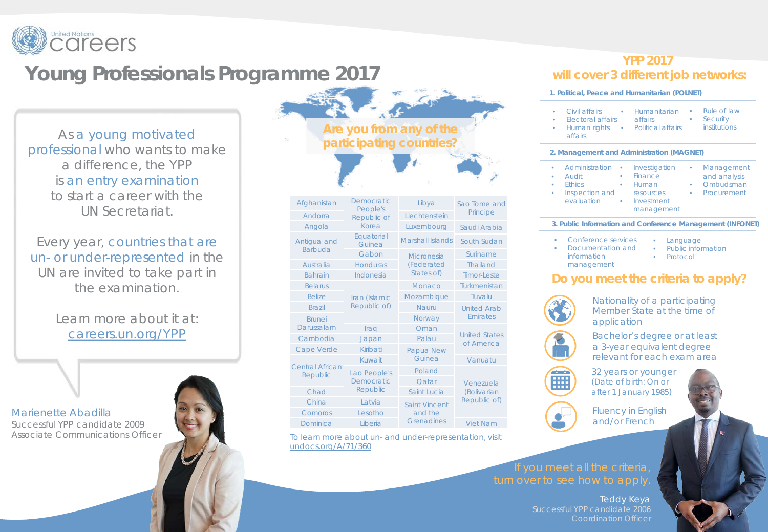

## **Young Professionals Programme 2017**

As a young motivated professional who wants to make a difference, the YPP is an entry examination to start a career with the UN Secretariat.

Every year, countries that are un- or under-represented in the UN are invited to take part in the examination.

> Learn more about it at: careers.un.org/YPP

Marienette Abadilla Successful YPP candidate 2009 Associate Communications Officer

## **Are you from any of the participating countries?**

| Afghanistan                        | Democratic<br>People's     | Libya                   | Sao Tome and                             |  |
|------------------------------------|----------------------------|-------------------------|------------------------------------------|--|
| Andorra                            | Republic of                | Liechtenstein           | Principe                                 |  |
| Angola                             | Korea                      | Luxembourg              | Saudi Arabia                             |  |
| Antigua and<br><b>Barbuda</b>      | Equatorial<br>Guinea       | <b>Marshall Islands</b> | South Sudan                              |  |
|                                    | Gabon                      | Micronesia              | Suriname                                 |  |
| Australia                          | <b>Honduras</b>            | (Federated              | Thailand                                 |  |
| <b>Bahrain</b>                     | Indonesia                  | States of)              | Timor-Leste                              |  |
| <b>Belarus</b>                     |                            | Monaco                  | Turkmenistan                             |  |
| <b>Belize</b>                      | Iran (Islamic              | Mozambique              | Tuvalu                                   |  |
| <b>Brazil</b>                      | Republic of)               | Nauru                   | <b>United Arab</b><br><b>Fmirates</b>    |  |
| <b>Brunei</b>                      |                            | Norway                  |                                          |  |
| Darussalam                         | Iraq                       | Oman                    | <b>United States</b><br>of America       |  |
| Cambodia                           | Japan                      | Palau                   |                                          |  |
| Cape Verde                         | Kiribati                   | Papua New               |                                          |  |
|                                    | Kuwait                     | Guinea                  | Vanuatu                                  |  |
| <b>Central African</b><br>Republic | Lao People's<br>Democratic | Poland                  |                                          |  |
|                                    |                            | Oatar                   | Venezuela<br>(Bolivarian<br>Republic of) |  |
| Chad                               | Republic                   | Saint Lucia             |                                          |  |
| China                              | <b>Latvia</b>              | <b>Saint Vincent</b>    |                                          |  |
| Comoros                            | Lesotho                    | and the                 |                                          |  |
| Dominica                           | <b>Liberia</b>             | Grenadines              | <b>Viet Nam</b>                          |  |
|                                    |                            |                         |                                          |  |

To learn more about un- and under-representation, visit undocs.org/A/71/360

## **YPP 2017 will cover 3 different job networks:**

**1. Political, Peace and Humanitarian (POLNET)**

| ٠<br>٠           | Electoral affairs affairs<br>Human rights<br>affairs                          | Civil affairs • Humanitarian<br>• Political affairs                                                    | Rule of law<br>$\bullet$ .<br>Security<br>$\bullet$<br>institutions                   |
|------------------|-------------------------------------------------------------------------------|--------------------------------------------------------------------------------------------------------|---------------------------------------------------------------------------------------|
|                  | 2. Management and Administration (MAGNET)                                     |                                                                                                        |                                                                                       |
| ۰<br>۰<br>٠<br>٠ | Administration<br>۰<br>Audit<br><b>Fthics</b><br>Inspection and<br>evaluation | Investigation<br>Finance<br>$\bullet$<br>Human<br>$\bullet$<br>resources<br>• Investment<br>management | Management<br>۰<br>and analysis<br>Ombudsman<br>$\bullet$<br>Procurement<br>$\bullet$ |
|                  |                                                                               |                                                                                                        | 3. Public Information and Conference Management (INFONET)                             |
| ۰<br>٠           | Conference services<br>Documentation and<br>information<br>management         | Language<br>۰<br>$\bullet$<br>Protocol<br>٠                                                            | Public information                                                                    |
|                  |                                                                               |                                                                                                        | you meet the criteria to apply?                                                       |



Nationality of a participating Member State at the time of application

Bachelor's degree or at least a 3-year equivalent degree relevant for each exam area



32 years or younger (Date of birth: On or after 1 January 1985)



Fluency in English and/or French

Teddy Keya Coordination Officer